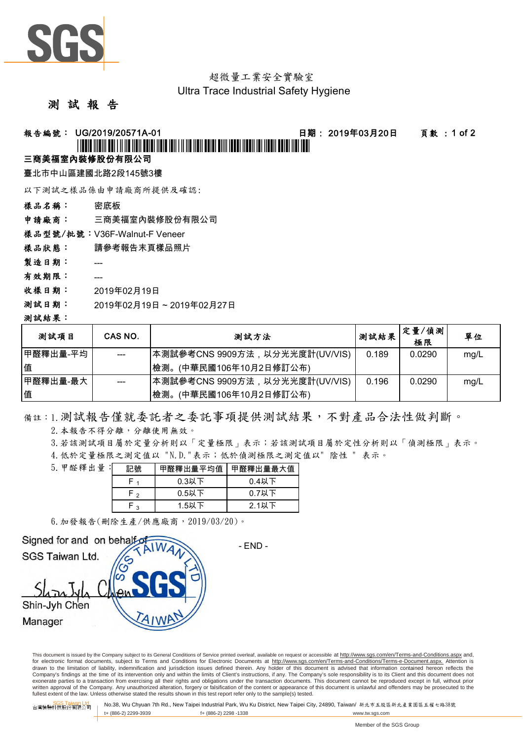

# 超微量工業安全實驗室

### Ultra Trace Industrial Safety Hygiene

### 測 試 報 告

### 報告編號: UG/2019/20571A-01 日期: 2019年03月20日 頁數 : 1 of 2

## \*UG/2019/20571A-01\*

### 三商美福室內裝修股份有限公司

臺北市中山區建國北路2段145號3樓

以下測試之樣品係由申請廠商所提供及確認:

樣品名稱: 密底板

申請廠商: 三商美福室內裝修股份有限公司

樣品型號/批號:V36F-Walnut-F Veneer

- 樣品狀態: 請參考報告末頁樣品照片
- 製造日期: ---
- 有效期限: ---
- 收樣日期: 2019年02月19日
- 測試日期: 2019年02月19日 ~ 2019年02月27日

#### 測試結果:

| 測試項目        | CAS NO. | 測試方法                            | 测試結果  | 定量/偵測<br>極限 | 單位   |
|-------------|---------|---------------------------------|-------|-------------|------|
| ┃甲醛釋出量-平均   |         | 本測試參考CNS 9909方法,以分光光度計(UV/VIS)  | 0.189 | 0.0290      | mq/L |
| 值           |         | (中華民國106年10月2日修訂公布)<br>檢測。      |       |             |      |
| ┃甲醛釋出量-最大 ┃ |         | ┃本測試參考CNS 9909方法,以分光光度計(UV/VIS) | 0.196 | 0.0290      | mg/L |
| 值           |         | 檢測。<br>(中華民國106年10月2日修訂公布)      |       |             |      |

備註:1.測試報告僅就委託者之委託事項提供測試結果,不對產品合法性做判斷。

2.本報告不得分離,分離使用無效。

3.若該測試項目屬於定量分析則以「定量極限」表示;若該測試項目屬於定性分析則以「偵測極限」表示。

4.低於定量極限之測定值以 "N.D."表示;低於偵測極限之測定值以" 陰性 " 表示。

| 5. 甲醛釋出量 : | 記號     | 甲醛釋出量平均值 | 甲醛釋出量最大值 |  |
|------------|--------|----------|----------|--|
|            |        | 0.3以下    | $0.4$ 以下 |  |
|            | $\sim$ | $0.5$ 以下 | $0.7$ 以下 |  |
|            | ີ      | 1.5以下    | $2.1$ 以下 |  |

6.加發報告(刪除生產/供應廠商,2019/03/20)。



This document is issued by the Company subject to its General Conditions of Service printed overleaf, available on request or accessible at http://www.sgs.com/en/Terms-and-Conditions.aspx and, for electronic format documents, subject to Terms and Conditions for Electronic Documents at http://www.sgs.com/en/Terms-and-Conditions/Terms-e-Document.aspx. Attention is drawn to the limitation of liability, indemnification and jurisdiction issues defined therein. Any holder of this document is advised that information contained hereon reflects the<br>Company's findings at the time of its int exonerate parties to a transaction from exercising all their rights and obligations under the transaction documents. This document cannot be reproduced except in full, without prior written approval of the Company. Any unauthorized alteration, forgery or falsification of the content or appearance of this document is unlawful and offenders may be prosecuted to the<br>fullest extent of the law. Unless othe

SGS Taiwan Ltd. 台灣檢驗科技股份有限公司 No.38, Wu Chyuan 7th Rd., New Taipei Industrial Park, Wu Ku District, New Taipei City, 24890, Taiwan/ 新北市五股區新北產業園區五權七路38號 t+ (886-2) 2299-3939 f+ (886-2) 2298 -1338